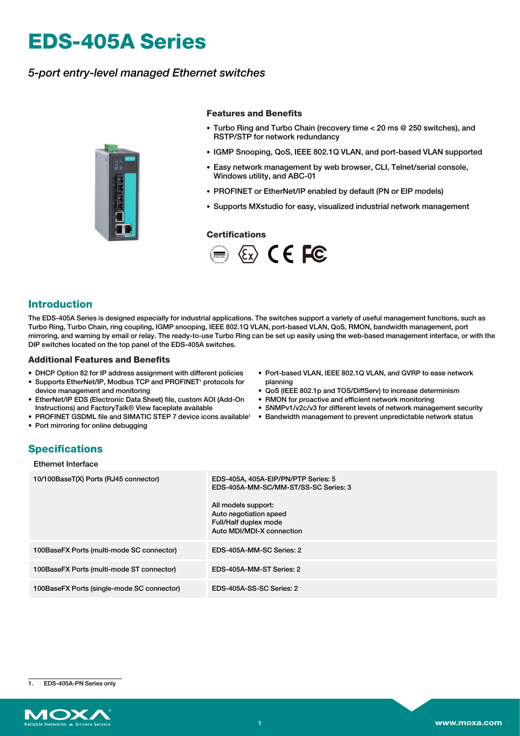# **EDS-405A Series**

## *5-port entry-level managed Ethernet switches*



#### **Features and Benefits**

- Turbo Ring and Turbo Chain (recovery time < 20 ms @ 250 switches), and RSTP/STP for network redundancy
- IGMP Snooping, QoS, IEEE 802.1Q VLAN, and port-based VLAN supported
- Easy network management by web browser, CLI, Telnet/serial console, Windows utility, and ABC-01
- PROFINET or EtherNet/IP enabled by default (PN or EIP models)
- Supports MXstudio for easy, visualized industrial network management

#### **Certifications**



## **Introduction**

The EDS-405A Series is designed especially for industrial applications. The switches support a variety of useful management functions, such as Turbo Ring, Turbo Chain, ring coupling, IGMP snooping, IEEE 802.1Q VLAN, port-based VLAN, QoS, RMON, bandwidth management, port mirroring, and warning by email or relay. The ready-to-use Turbo Ring can be set up easily using the web-based management interface, or with the DIP switches located on the top panel of the EDS-405A switches.

#### **Additional Features and Benefits**

- DHCP Option 82 for IP address assignment with different policies
- Supports EtherNet/IP, Modbus TCP and PROFINET<sup>1</sup> protocols for device management and monitoring
- EtherNet/IP EDS (Electronic Data Sheet) file, custom AOI (Add-On Instructions) and FactoryTalk® View faceplate available
- PROFINET GSDML file and SIMATIC STEP 7 device icons available<sup>1</sup> Bandwidth management to prevent unpredictable network status
- Port mirroring for online debugging
- Port-based VLAN, IEEE 802.1Q VLAN, and GVRP to ease network planning
- QoS (IEEE 802.1p and TOS/DiffServ) to increase determinism
- RMON for proactive and efficient network monitoring
- SNMPv1/v2c/v3 for different levels of network management security
- 

## **Specifications**

| Ethernet Interface |  |
|--------------------|--|
|--------------------|--|

| 10/100BaseT(X) Ports (RJ45 connector)      | EDS-405A, 405A-EIP/PN/PTP Series: 5<br>EDS-405A-MM-SC/MM-ST/SS-SC Series: 3<br>All models support:<br>Auto negotiation speed<br>Full/Half duplex mode<br>Auto MDI/MDI-X connection |
|--------------------------------------------|------------------------------------------------------------------------------------------------------------------------------------------------------------------------------------|
| 100BaseFX Ports (multi-mode SC connector)  | EDS-405A-MM-SC Series: 2                                                                                                                                                           |
| 100BaseFX Ports (multi-mode ST connector)  | EDS-405A-MM-ST Series: 2                                                                                                                                                           |
| 100BaseFX Ports (single-mode SC connector) | EDS-405A-SS-SC Series: 2                                                                                                                                                           |

1. EDS-405A-PN Series only

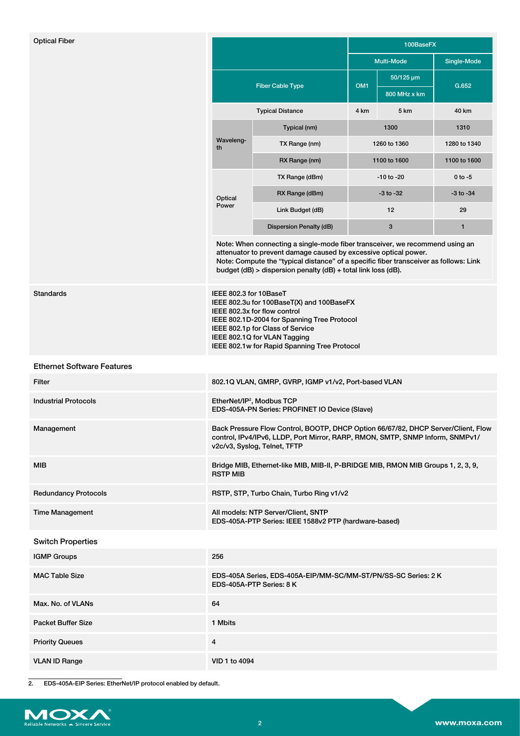| <b>Optical Fiber</b>              |                                                                                                                                                                                                                                                                                                           |                         |                   |                                  | 100BaseFX     |  |
|-----------------------------------|-----------------------------------------------------------------------------------------------------------------------------------------------------------------------------------------------------------------------------------------------------------------------------------------------------------|-------------------------|-------------------|----------------------------------|---------------|--|
|                                   |                                                                                                                                                                                                                                                                                                           |                         | <b>Multi-Mode</b> |                                  | Single-Mode   |  |
|                                   | <b>Fiber Cable Type</b>                                                                                                                                                                                                                                                                                   |                         | OM <sub>1</sub>   | $50/125 \,\mu m$<br>800 MHz x km | G.652         |  |
|                                   | <b>Typical Distance</b>                                                                                                                                                                                                                                                                                   |                         | 4 km              | 5 km                             | 40 km         |  |
|                                   | Waveleng-<br>th                                                                                                                                                                                                                                                                                           | Typical (nm)            | 1300              |                                  | 1310          |  |
|                                   |                                                                                                                                                                                                                                                                                                           | TX Range (nm)           | 1260 to 1360      |                                  | 1280 to 1340  |  |
|                                   |                                                                                                                                                                                                                                                                                                           | RX Range (nm)           | 1100 to 1600      |                                  | 1100 to 1600  |  |
|                                   | Optical                                                                                                                                                                                                                                                                                                   | TX Range (dBm)          | $-10$ to $-20$    |                                  | $0$ to $-5$   |  |
|                                   |                                                                                                                                                                                                                                                                                                           | RX Range (dBm)          | $-3$ to $-32$     |                                  | $-3$ to $-34$ |  |
|                                   | Power                                                                                                                                                                                                                                                                                                     | Link Budget (dB)        | 12                |                                  | 29            |  |
|                                   |                                                                                                                                                                                                                                                                                                           | Dispersion Penalty (dB) | $\mathbf{3}$      |                                  | $\mathbf{1}$  |  |
|                                   | Note: When connecting a single-mode fiber transceiver, we recommend using an<br>attenuator to prevent damage caused by excessive optical power.<br>Note: Compute the "typical distance" of a specific fiber transceiver as follows: Link<br>budget (dB) > dispersion penalty (dB) + total link loss (dB). |                         |                   |                                  |               |  |
| <b>Standards</b>                  | IEEE 802.3 for 10BaseT<br>IEEE 802.3u for 100BaseT(X) and 100BaseFX<br>IEEE 802.3x for flow control<br>IEEE 802.1D-2004 for Spanning Tree Protocol<br>IEEE 802.1p for Class of Service<br>IEEE 802.1Q for VLAN Tagging<br>IEEE 802.1w for Rapid Spanning Tree Protocol                                    |                         |                   |                                  |               |  |
| <b>Ethernet Software Features</b> |                                                                                                                                                                                                                                                                                                           |                         |                   |                                  |               |  |
| Filter                            | 802.1Q VLAN, GMRP, GVRP, IGMP v1/v2, Port-based VLAN                                                                                                                                                                                                                                                      |                         |                   |                                  |               |  |
| <b>Industrial Protocols</b>       | EtherNet/IP <sup>2</sup> , Modbus TCP<br>EDS-405A-PN Series: PROFINET IO Device (Slave)                                                                                                                                                                                                                   |                         |                   |                                  |               |  |
| Management                        | Back Pressure Flow Control, BOOTP, DHCP Option 66/67/82, DHCP Server/Client, Flow<br>control, IPv4/IPv6, LLDP, Port Mirror, RARP, RMON, SMTP, SNMP Inform, SNMPv1/<br>v2c/v3, Syslog, Telnet, TFTP                                                                                                        |                         |                   |                                  |               |  |
| <b>MIB</b>                        | Bridge MIB, Ethernet-like MIB, MIB-II, P-BRIDGE MIB, RMON MIB Groups 1, 2, 3, 9,<br><b>RSTP MIB</b>                                                                                                                                                                                                       |                         |                   |                                  |               |  |
| <b>Redundancy Protocols</b>       | RSTP, STP, Turbo Chain, Turbo Ring v1/v2                                                                                                                                                                                                                                                                  |                         |                   |                                  |               |  |
| <b>Time Management</b>            | All models: NTP Server/Client, SNTP<br>EDS-405A-PTP Series: IEEE 1588v2 PTP (hardware-based)                                                                                                                                                                                                              |                         |                   |                                  |               |  |
| <b>Switch Properties</b>          |                                                                                                                                                                                                                                                                                                           |                         |                   |                                  |               |  |
| <b>IGMP Groups</b>                | 256                                                                                                                                                                                                                                                                                                       |                         |                   |                                  |               |  |
| <b>MAC Table Size</b>             | EDS-405A Series, EDS-405A-EIP/MM-SC/MM-ST/PN/SS-SC Series: 2K<br>EDS-405A-PTP Series: 8 K                                                                                                                                                                                                                 |                         |                   |                                  |               |  |
| Max. No. of VLANs                 | 64                                                                                                                                                                                                                                                                                                        |                         |                   |                                  |               |  |
| <b>Packet Buffer Size</b>         | 1 Mbits                                                                                                                                                                                                                                                                                                   |                         |                   |                                  |               |  |
| <b>Priority Queues</b>            | 4                                                                                                                                                                                                                                                                                                         |                         |                   |                                  |               |  |
| <b>VLAN ID Range</b>              | VID 1 to 4094                                                                                                                                                                                                                                                                                             |                         |                   |                                  |               |  |
|                                   |                                                                                                                                                                                                                                                                                                           |                         |                   |                                  |               |  |

2. EDS-405A-EIP Series: EtherNet/IP protocol enabled by default.

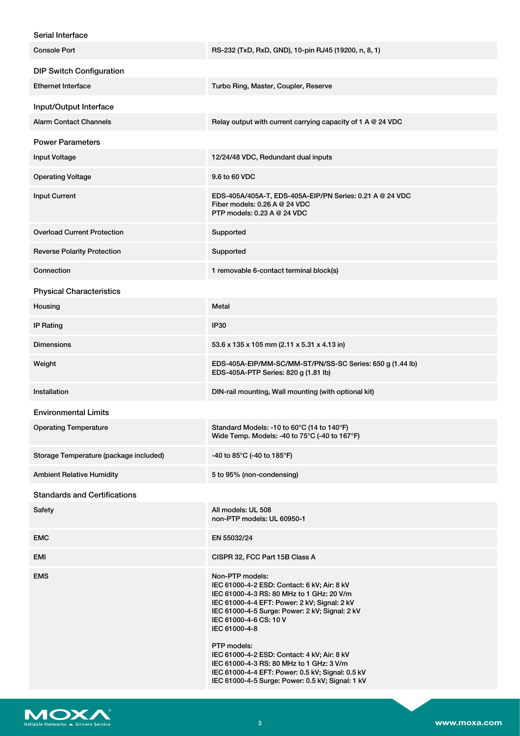#### Serial Interface

| <b>Console Port</b>                    | RS-232 (TxD, RxD, GND), 10-pin RJ45 (19200, n, 8, 1)                                                                                                                                                                                                                                                                                                                                                                   |
|----------------------------------------|------------------------------------------------------------------------------------------------------------------------------------------------------------------------------------------------------------------------------------------------------------------------------------------------------------------------------------------------------------------------------------------------------------------------|
| <b>DIP Switch Configuration</b>        |                                                                                                                                                                                                                                                                                                                                                                                                                        |
| <b>Ethernet Interface</b>              | Turbo Ring, Master, Coupler, Reserve                                                                                                                                                                                                                                                                                                                                                                                   |
| Input/Output Interface                 |                                                                                                                                                                                                                                                                                                                                                                                                                        |
| <b>Alarm Contact Channels</b>          | Relay output with current carrying capacity of 1 A @ 24 VDC                                                                                                                                                                                                                                                                                                                                                            |
| <b>Power Parameters</b>                |                                                                                                                                                                                                                                                                                                                                                                                                                        |
| <b>Input Voltage</b>                   | 12/24/48 VDC, Redundant dual inputs                                                                                                                                                                                                                                                                                                                                                                                    |
| <b>Operating Voltage</b>               | 9.6 to 60 VDC                                                                                                                                                                                                                                                                                                                                                                                                          |
| <b>Input Current</b>                   | EDS-405A/405A-T, EDS-405A-EIP/PN Series: 0.21 A @ 24 VDC<br>Fiber models: $0.26$ A $@$ 24 VDC<br>PTP models: 0.23 A @ 24 VDC                                                                                                                                                                                                                                                                                           |
| <b>Overload Current Protection</b>     | Supported                                                                                                                                                                                                                                                                                                                                                                                                              |
| <b>Reverse Polarity Protection</b>     | Supported                                                                                                                                                                                                                                                                                                                                                                                                              |
| Connection                             | 1 removable 6-contact terminal block(s)                                                                                                                                                                                                                                                                                                                                                                                |
| <b>Physical Characteristics</b>        |                                                                                                                                                                                                                                                                                                                                                                                                                        |
| Housing                                | Metal                                                                                                                                                                                                                                                                                                                                                                                                                  |
| <b>IP Rating</b>                       | IP30                                                                                                                                                                                                                                                                                                                                                                                                                   |
| <b>Dimensions</b>                      | 53.6 x 135 x 105 mm (2.11 x 5.31 x 4.13 in)                                                                                                                                                                                                                                                                                                                                                                            |
| Weight                                 | EDS-405A-EIP/MM-SC/MM-ST/PN/SS-SC Series: 650 g (1.44 lb)<br>EDS-405A-PTP Series: 820 g (1.81 lb)                                                                                                                                                                                                                                                                                                                      |
| Installation                           | DIN-rail mounting, Wall mounting (with optional kit)                                                                                                                                                                                                                                                                                                                                                                   |
| <b>Environmental Limits</b>            |                                                                                                                                                                                                                                                                                                                                                                                                                        |
| <b>Operating Temperature</b>           | Standard Models: -10 to 60°C (14 to 140°F)<br>Wide Temp. Models: -40 to $75^{\circ}$ C (-40 to 167 $^{\circ}$ F)                                                                                                                                                                                                                                                                                                       |
| Storage Temperature (package included) | -40 to 85°C (-40 to 185°F)                                                                                                                                                                                                                                                                                                                                                                                             |
| <b>Ambient Relative Humidity</b>       | 5 to 95% (non-condensing)                                                                                                                                                                                                                                                                                                                                                                                              |
| <b>Standards and Certifications</b>    |                                                                                                                                                                                                                                                                                                                                                                                                                        |
| Safety                                 | All models: UL 508<br>non-PTP models: UL 60950-1                                                                                                                                                                                                                                                                                                                                                                       |
| <b>EMC</b>                             | EN 55032/24                                                                                                                                                                                                                                                                                                                                                                                                            |
| EMI                                    | CISPR 32, FCC Part 15B Class A                                                                                                                                                                                                                                                                                                                                                                                         |
| <b>EMS</b>                             | Non-PTP models:<br>IEC 61000-4-2 ESD: Contact: 6 kV; Air: 8 kV<br>IEC 61000-4-3 RS: 80 MHz to 1 GHz: 20 V/m<br>IEC 61000-4-4 EFT: Power: 2 kV; Signal: 2 kV<br>IEC 61000-4-5 Surge: Power: 2 kV; Signal: 2 kV<br>IEC 61000-4-6 CS: 10 V<br>IEC 61000-4-8<br>PTP models:<br>IEC 61000-4-2 ESD: Contact: 4 kV; Air: 8 kV<br>IEC 61000-4-3 RS: 80 MHz to 1 GHz: 3 V/m<br>IEC 61000-4-4 EFT: Power: 0.5 kV; Signal: 0.5 kV |
|                                        | IEC 61000-4-5 Surge: Power: 0.5 kV; Signal: 1 kV                                                                                                                                                                                                                                                                                                                                                                       |

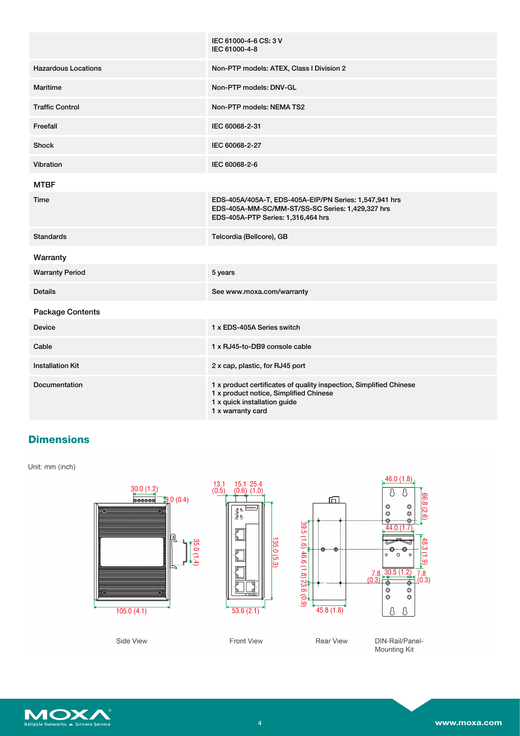|                            | IEC 61000-4-6 CS: 3 V<br>IEC 61000-4-8                                                                                                                            |
|----------------------------|-------------------------------------------------------------------------------------------------------------------------------------------------------------------|
| <b>Hazardous Locations</b> | Non-PTP models: ATEX, Class I Division 2                                                                                                                          |
| <b>Maritime</b>            | Non-PTP models: DNV-GL                                                                                                                                            |
| <b>Traffic Control</b>     | Non-PTP models: NEMA TS2                                                                                                                                          |
| Freefall                   | IEC 60068-2-31                                                                                                                                                    |
| <b>Shock</b>               | IEC 60068-2-27                                                                                                                                                    |
| Vibration                  | IEC 60068-2-6                                                                                                                                                     |
| <b>MTBF</b>                |                                                                                                                                                                   |
| <b>Time</b>                | EDS-405A/405A-T, EDS-405A-EIP/PN Series: 1,547,941 hrs<br>EDS-405A-MM-SC/MM-ST/SS-SC Series: 1,429,327 hrs<br>EDS-405A-PTP Series: 1,316,464 hrs                  |
| <b>Standards</b>           | Telcordia (Bellcore), GB                                                                                                                                          |
| Warranty                   |                                                                                                                                                                   |
| <b>Warranty Period</b>     | 5 years                                                                                                                                                           |
| <b>Details</b>             | See www.moxa.com/warranty                                                                                                                                         |
| <b>Package Contents</b>    |                                                                                                                                                                   |
| <b>Device</b>              | 1 x EDS-405A Series switch                                                                                                                                        |
| Cable                      | 1 x RJ45-to-DB9 console cable                                                                                                                                     |
| <b>Installation Kit</b>    | 2 x cap, plastic, for RJ45 port                                                                                                                                   |
| Documentation              | 1 x product certificates of quality inspection, Simplified Chinese<br>1 x product notice, Simplified Chinese<br>1 x quick installation guide<br>1 x warranty card |

# **Dimensions**

Unit: mm (inch)



Side View

Front View

DIN-Rail/Panel-<br>Mounting Kit

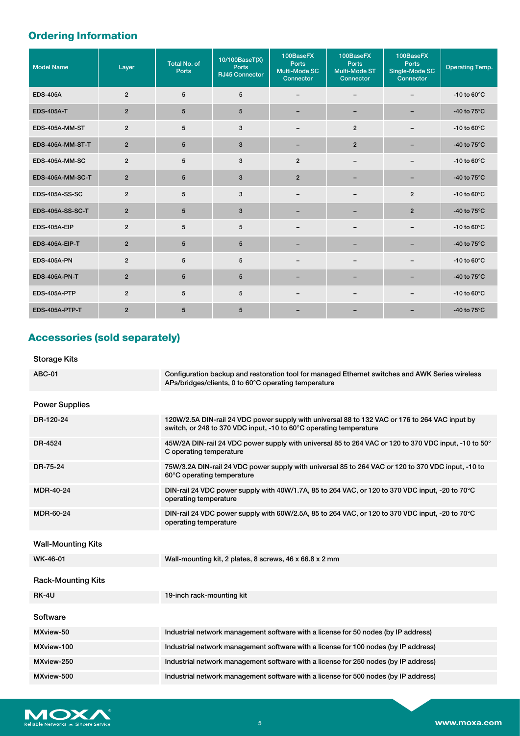# **Ordering Information**

| <b>Model Name</b>       | Layer          | <b>Total No. of</b><br><b>Ports</b> | 10/100BaseT(X)<br><b>Ports</b><br><b>RJ45 Connector</b> | 100BaseFX<br>Ports<br>Multi-Mode SC<br>Connector | 100BaseFX<br><b>Ports</b><br><b>Multi-Mode ST</b><br>Connector | 100BaseFX<br><b>Ports</b><br>Single-Mode SC<br>Connector | <b>Operating Temp.</b>  |
|-------------------------|----------------|-------------------------------------|---------------------------------------------------------|--------------------------------------------------|----------------------------------------------------------------|----------------------------------------------------------|-------------------------|
| <b>EDS-405A</b>         | $\overline{2}$ | 5                                   | 5                                                       | -                                                |                                                                |                                                          | -10 to $60^{\circ}$ C   |
| <b>EDS-405A-T</b>       | $\overline{2}$ | $5\phantom{.0}$                     | 5                                                       |                                                  |                                                                |                                                          | -40 to $75^{\circ}$ C   |
| EDS-405A-MM-ST          | $\overline{2}$ | 5                                   | 3                                                       | $\qquad \qquad \blacksquare$                     | $\overline{2}$                                                 | -                                                        | -10 to $60^{\circ}$ C   |
| EDS-405A-MM-ST-T        | $\overline{2}$ | $5\phantom{.0}$                     | 3                                                       |                                                  | $\overline{2}$                                                 |                                                          | -40 to $75^{\circ}$ C   |
| EDS-405A-MM-SC          | $\overline{2}$ | 5                                   | 3                                                       | $\overline{2}$                                   | $\qquad \qquad$                                                | -                                                        | -10 to $60^{\circ}$ C   |
| EDS-405A-MM-SC-T        | $\overline{2}$ | 5                                   | 3                                                       | $\overline{2}$                                   |                                                                |                                                          | -40 to $75^{\circ}$ C   |
| <b>EDS-405A-SS-SC</b>   | $\overline{2}$ | 5                                   | 3                                                       | $\qquad \qquad \blacksquare$                     |                                                                | $\overline{2}$                                           | -10 to $60^{\circ}$ C   |
| <b>EDS-405A-SS-SC-T</b> | $\overline{2}$ | 5                                   | 3                                                       |                                                  |                                                                | $\overline{2}$                                           | -40 to $75^{\circ}$ C   |
| EDS-405A-EIP            | $\overline{2}$ | 5                                   | 5                                                       | $\qquad \qquad \blacksquare$                     | $\qquad \qquad$                                                | -                                                        | $-10$ to $60^{\circ}$ C |
| EDS-405A-EIP-T          | $\overline{2}$ | 5                                   | 5                                                       | -                                                | -                                                              | -                                                        | -40 to $75^{\circ}$ C   |
| <b>EDS-405A-PN</b>      | $\overline{2}$ | 5                                   | 5                                                       | -                                                |                                                                | -                                                        | -10 to $60^{\circ}$ C   |
| <b>EDS-405A-PN-T</b>    | $\overline{2}$ | 5                                   | $5\phantom{.0}$                                         |                                                  |                                                                |                                                          | -40 to $75^{\circ}$ C   |
| EDS-405A-PTP            | $\overline{2}$ | 5                                   | 5                                                       | -                                                |                                                                |                                                          | -10 to $60^{\circ}$ C   |
| EDS-405A-PTP-T          | $\overline{2}$ | 5                                   | 5                                                       |                                                  |                                                                |                                                          | -40 to $75^{\circ}$ C   |

# **Accessories (sold separately)**

## Storage Kits

| <b>ABC-01</b>             | Configuration backup and restoration tool for managed Ethernet switches and AWK Series wireless<br>APs/bridges/clients, 0 to 60°C operating temperature              |
|---------------------------|----------------------------------------------------------------------------------------------------------------------------------------------------------------------|
| <b>Power Supplies</b>     |                                                                                                                                                                      |
| DR-120-24                 | 120W/2.5A DIN-rail 24 VDC power supply with universal 88 to 132 VAC or 176 to 264 VAC input by<br>switch, or 248 to 370 VDC input, -10 to 60°C operating temperature |
| DR-4524                   | 45W/2A DIN-rail 24 VDC power supply with universal 85 to 264 VAC or 120 to 370 VDC input, -10 to 50°<br>C operating temperature                                      |
| DR-75-24                  | 75W/3.2A DIN-rail 24 VDC power supply with universal 85 to 264 VAC or 120 to 370 VDC input, -10 to<br>60°C operating temperature                                     |
| <b>MDR-40-24</b>          | DIN-rail 24 VDC power supply with 40W/1.7A, 85 to 264 VAC, or 120 to 370 VDC input, -20 to 70°C<br>operating temperature                                             |
| MDR-60-24                 | DIN-rail 24 VDC power supply with 60W/2.5A, 85 to 264 VAC, or 120 to 370 VDC input, -20 to 70°C<br>operating temperature                                             |
| <b>Wall-Mounting Kits</b> |                                                                                                                                                                      |
| WK-46-01                  | Wall-mounting kit, 2 plates, 8 screws, 46 x 66.8 x 2 mm                                                                                                              |
| <b>Rack-Mounting Kits</b> |                                                                                                                                                                      |
| RK-4U                     | 19-inch rack-mounting kit                                                                                                                                            |
| Software                  |                                                                                                                                                                      |
| MXview-50                 | Industrial network management software with a license for 50 nodes (by IP address)                                                                                   |
| MXview-100                | Industrial network management software with a license for 100 nodes (by IP address)                                                                                  |
| MXview-250                | Industrial network management software with a license for 250 nodes (by IP address)                                                                                  |
| MXview-500                | Industrial network management software with a license for 500 nodes (by IP address)                                                                                  |
|                           |                                                                                                                                                                      |